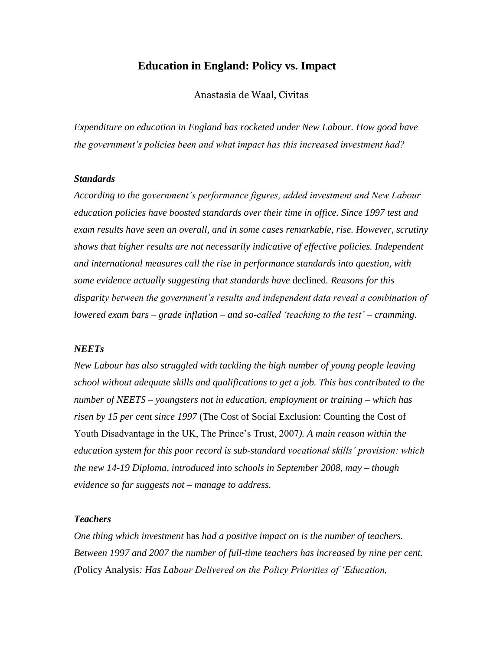## **Education in England: Policy vs. Impact**

Anastasia de Waal, Civitas

*Expenditure on education in England has rocketed under New Labour. How good have the government's policies been and what impact has this increased investment had?* 

#### *Standards*

*According to the government's performance figures, added investment and New Labour education policies have boosted standards over their time in office. Since 1997 test and exam results have seen an overall, and in some cases remarkable, rise. However, scrutiny shows that higher results are not necessarily indicative of effective policies. Independent and international measures call the rise in performance standards into question, with some evidence actually suggesting that standards have* declined*. Reasons for this disparity between the government's results and independent data reveal a combination of lowered exam bars – grade inflation – and so-called 'teaching to the test' – cramming.* 

#### *NEETs*

*New Labour has also struggled with tackling the high number of young people leaving school without adequate skills and qualifications to get a job. This has contributed to the number of NEETS – youngsters not in education, employment or training – which has risen by 15 per cent since 1997* (The Cost of Social Exclusion: Counting the Cost of Youth Disadvantage in the UK, The Prince's Trust, 2007*). A main reason within the education system for this poor record is sub-standard vocational skills' provision: which the new 14-19 Diploma, introduced into schools in September 2008, may – though evidence so far suggests not – manage to address.* 

#### *Teachers*

*One thing which investment* has *had a positive impact on is the number of teachers. Between 1997 and 2007 the number of full-time teachers has increased by nine per cent. (*Policy Analysis*: Has Labour Delivered on the Policy Priorities of 'Education,*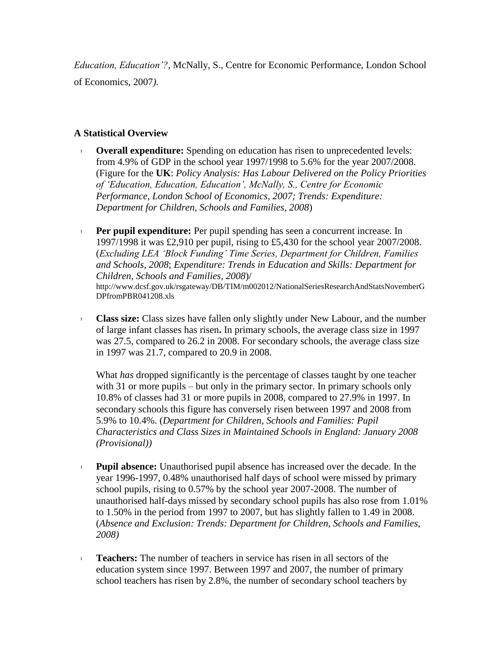*Education, Education'?*, McNally, S., Centre for Economic Performance, London School of Economics, 2007*).* 

## **A Statistical Overview**

- **Overall expenditure:** Spending on education has risen to unprecedented levels: from 4.9% of GDP in the school year 1997/1998 to 5.6% for the year 2007/2008. (Figure for the **UK**: *Policy Analysis: Has Labour Delivered on the Policy Priorities of 'Education, Education, Education', McNally, S., Centre for Economic Performance, London School of Economics, 2007; Trends: Expenditure: Department for Children, Schools and Families, 2008*)
- **Per pupil expenditure:** Per pupil spending has seen a concurrent increase. In 1997/1998 it was £2,910 per pupil, rising to £5,430 for the school year 2007/2008. (*Excluding LEA 'Block Funding' Time Series, Department for Children, Families and Schools, 2008*; *Expenditure: Trends in Education and Skills: Department for Children, Schools and Families, 2008*)/ [http://www.dcsf.gov.uk/rsgateway/DB/TIM/m002012/NationalSeriesResearchAndStatsNovemberG](http://www.dcsf.gov.uk/rsgateway/DB/TIM/m002012/NationalSeriesResearchAndStatsNovemberGDPfromPBR041208.xls) [DPfromPBR041208.xls](http://www.dcsf.gov.uk/rsgateway/DB/TIM/m002012/NationalSeriesResearchAndStatsNovemberGDPfromPBR041208.xls)
- **Class size:** Class sizes have fallen only slightly under New Labour, and the number of large infant classes has risen**.** In primary schools, the average class size in 1997 was 27.5, compared to 26.2 in 2008. For secondary schools, the average class size in 1997 was 21.7, compared to 20.9 in 2008.

What *has* dropped significantly is the percentage of classes taught by one teacher with 31 or more pupils – but only in the primary sector. In primary schools only 10.8% of classes had 31 or more pupils in 2008, compared to 27.9% in 1997. In secondary schools this figure has conversely risen between 1997 and 2008 from 5.9% to 10.4%. (*Department for Children, Schools and Families: Pupil Characteristics and Class Sizes in Maintained Schools in England: January 2008 (Provisional))*

- **Pupil absence:** Unauthorised pupil absence has increased over the decade. In the year 1996-1997, 0.48% unauthorised half days of school were missed by primary school pupils, rising to 0.57% by the school year 2007-2008. The number of unauthorised half-days missed by secondary school pupils has also rose from 1.01% to 1.50% in the period from 1997 to 2007, but has slightly fallen to 1.49 in 2008. (*Absence and Exclusion: Trends: Department for Children, Schools and Families, 2008)*
- **Teachers:** The number of teachers in service has risen in all sectors of the education system since 1997. Between 1997 and 2007, the number of primary school teachers has risen by 2.8%, the number of secondary school teachers by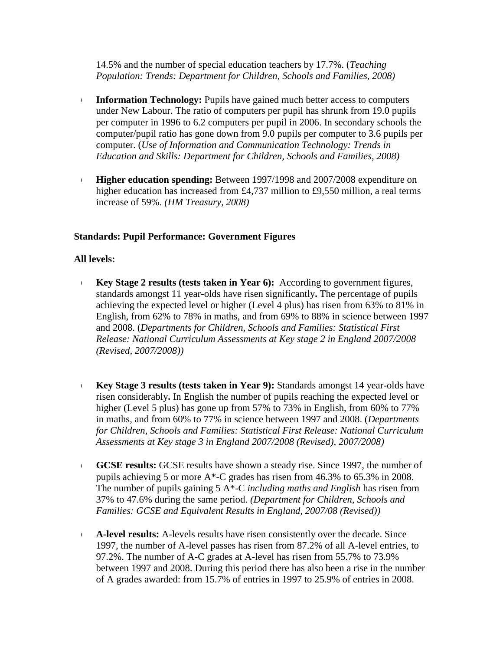14.5% and the number of special education teachers by 17.7%. (*Teaching Population: Trends: Department for Children, Schools and Families, 2008)*

- **Information Technology:** Pupils have gained much better access to computers under New Labour. The ratio of computers per pupil has shrunk from 19.0 pupils per computer in 1996 to 6.2 computers per pupil in 2006. In secondary schools the computer/pupil ratio has gone down from 9.0 pupils per computer to 3.6 pupils per computer. (*Use of Information and Communication Technology: Trends in Education and Skills: Department for Children, Schools and Families, 2008)*
- **Higher education spending:** Between 1997/1998 and 2007/2008 expenditure on higher education has increased from £4,737 million to £9,550 million, a real terms increase of 59%. *(HM Treasury, 2008)*

#### **Standards: Pupil Performance: Government Figures**

## **All levels:**

- **Key Stage 2 results (tests taken in Year 6):** According to government figures, standards amongst 11 year-olds have risen significantly**.** The percentage of pupils achieving the expected level or higher (Level 4 plus) has risen from 63% to 81% in English, from 62% to 78% in maths, and from 69% to 88% in science between 1997 and 2008. (*Departments for Children, Schools and Families: Statistical First Release: National Curriculum Assessments at Key stage 2 in England 2007/2008 (Revised, 2007/2008))*
- **Key Stage 3 results (tests taken in Year 9):** Standards amongst 14 year-olds have risen considerably**.** In English the number of pupils reaching the expected level or higher (Level 5 plus) has gone up from 57% to 73% in English, from 60% to 77% in maths, and from 60% to 77% in science between 1997 and 2008. (*Departments for Children, Schools and Families: Statistical First Release: National Curriculum Assessments at Key stage 3 in England 2007/2008 (Revised), 2007/2008)*
- **GCSE results:** GCSE results have shown a steady rise. Since 1997, the number of pupils achieving 5 or more A\*-C grades has risen from 46.3% to 65.3% in 2008. The number of pupils gaining 5 A\*-C *including maths and English* has risen from 37% to 47.6% during the same period. *(Department for Children, Schools and Families: GCSE and Equivalent Results in England, 2007/08 (Revised))*
- **A-level results:** A-levels results have risen consistently over the decade. Since 1997, the number of A-level passes has risen from 87.2% of all A-level entries, to 97.2%. The number of A-C grades at A-level has risen from 55.7% to 73.9% between 1997 and 2008. During this period there has also been a rise in the number of A grades awarded: from 15.7% of entries in 1997 to 25.9% of entries in 2008.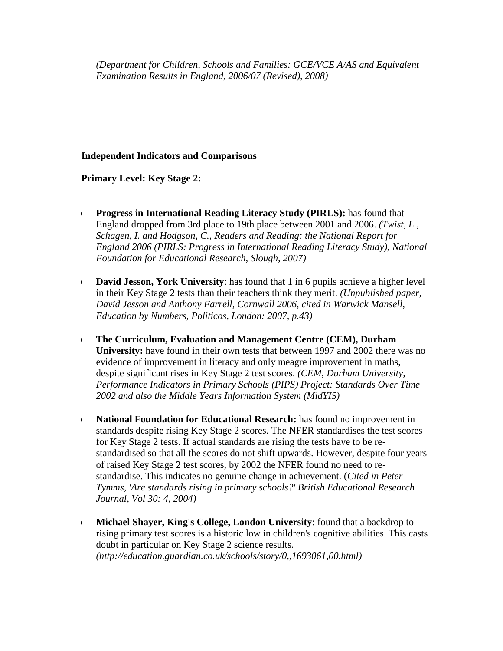*(Department for Children, Schools and Families: GCE/VCE A/AS and Equivalent Examination Results in England, 2006/07 (Revised), 2008)*

# **Independent Indicators and Comparisons**

**Primary Level: Key Stage 2:**

- **Progress in International Reading Literacy Study (PIRLS):** has found that England dropped from 3rd place to 19th place between 2001 and 2006. *(Twist, L., Schagen, I. and Hodgson, C., Readers and Reading: the National Report for England 2006 (PIRLS: Progress in International Reading Literacy Study), National Foundation for Educational Research, Slough, 2007)*
- **David Jesson, York University**: has found that 1 in 6 pupils achieve a higher level in their Key Stage 2 tests than their teachers think they merit. *(Unpublished paper, David Jesson and Anthony Farrell, Cornwall 2006, cited in Warwick Mansell, Education by Numbers, Politicos, London: 2007, p.43)*
- **The Curriculum, Evaluation and Management Centre (CEM), Durham University:** have found in their own tests that between 1997 and 2002 there was no evidence of improvement in literacy and only meagre improvement in maths, despite significant rises in Key Stage 2 test scores. *(CEM, Durham University, Performance Indicators in Primary Schools (PIPS) Project: Standards Over Time 2002 and also the Middle Years Information System (MidYIS)*
- **National Foundation for Educational Research:** has found no improvement in standards despite rising Key Stage 2 scores. The NFER standardises the test scores for Key Stage 2 tests. If actual standards are rising the tests have to be restandardised so that all the scores do not shift upwards. However, despite four years of raised Key Stage 2 test scores, by 2002 the NFER found no need to restandardise. This indicates no genuine change in achievement. (*Cited in Peter Tymms, 'Are standards rising in primary schools?' British Educational Research Journal, Vol 30: 4, 2004)*
- **Michael Shayer, King's College, London University**: found that a backdrop to rising primary test scores is a historic low in children's cognitive abilities. This casts doubt in particular on Key Stage 2 science results. *[\(http://education.guardian.co.uk/schools/story/0,,1693061,00.html\)](http://education.guardian.co.uk/schools/story/0,,1693061,00.html)*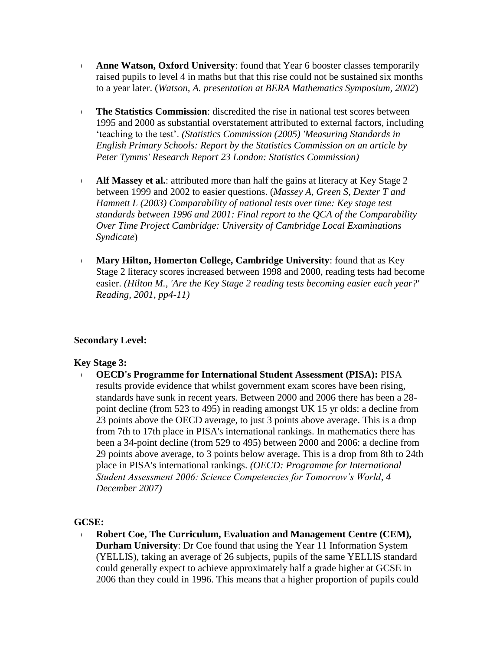- **Anne Watson, Oxford University**: found that Year 6 booster classes temporarily raised pupils to level 4 in maths but that this rise could not be sustained six months to a year later. (*Watson, A. presentation at BERA Mathematics Symposium, 2002*)
- **The Statistics Commission:** discredited the rise in national test scores between 1995 and 2000 as substantial overstatement attributed to external factors, including 'teaching to the test'. *(Statistics Commission (2005) 'Measuring Standards in English Primary Schools: Report by the Statistics Commission on an article by Peter Tymms' Research Report 23 London: Statistics Commission)*
- **Alf Massey et al.**: attributed more than half the gains at literacy at Key Stage 2 between 1999 and 2002 to easier questions. (*Massey A, Green S, Dexter T and Hamnett L (2003) Comparability of national tests over time: Key stage test standards between 1996 and 2001: Final report to the QCA of the Comparability Over Time Project Cambridge: University of Cambridge Local Examinations Syndicate*)
- **Mary Hilton, Homerton College, Cambridge University**: found that as Key Stage 2 literacy scores increased between 1998 and 2000, reading tests had become easier. *(Hilton M., 'Are the Key Stage 2 reading tests becoming easier each year?' Reading, 2001, pp4-11)*

# **Secondary Level:**

#### **Key Stage 3:**

 **OECD's Programme for International Student Assessment (PISA):** PISA results provide evidence that whilst government exam scores have been rising, standards have sunk in recent years. Between 2000 and 2006 there has been a 28 point decline (from 523 to 495) in reading amongst UK 15 yr olds: a decline from 23 points above the OECD average, to just 3 points above average. This is a drop from 7th to 17th place in PISA's international rankings. In mathematics there has been a 34-point decline (from 529 to 495) between 2000 and 2006: a decline from 29 points above average, to 3 points below average. This is a drop from 8th to 24th place in PISA's international rankings. *(OECD: Programme for International Student Assessment 2006: Science Competencies for Tomorrow's World, 4 December 2007)*

#### **GCSE:**

 **Robert Coe, The Curriculum, Evaluation and Management Centre (CEM), Durham University**: Dr Coe found that using the Year 11 Information System (YELLIS), taking an average of 26 subjects, pupils of the same YELLIS standard could generally expect to achieve approximately half a grade higher at GCSE in 2006 than they could in 1996. This means that a higher proportion of pupils could